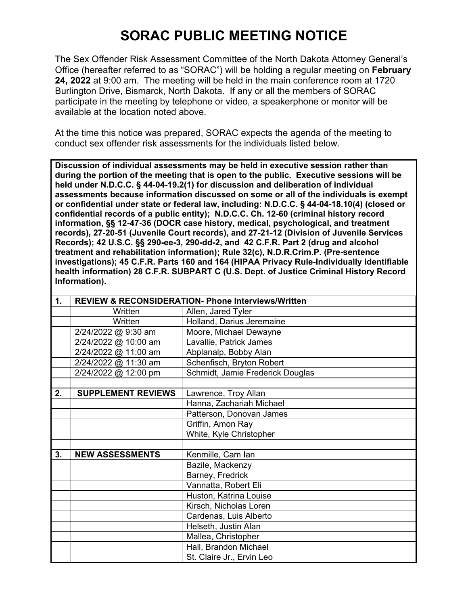## **SORAC PUBLIC MEETING NOTICE**

The Sex Offender Risk Assessment Committee of the North Dakota Attorney General's Office (hereafter referred to as "SORAC") will be holding a regular meeting on **February 24, 2022** at 9:00 am. The meeting will be held in the main conference room at 1720 Burlington Drive, Bismarck, North Dakota. If any or all the members of SORAC participate in the meeting by telephone or video, a speakerphone or monitor will be available at the location noted above.

At the time this notice was prepared, SORAC expects the agenda of the meeting to conduct sex offender risk assessments for the individuals listed below.

**Discussion of individual assessments may be held in executive session rather than during the portion of the meeting that is open to the public. Executive sessions will be held under N.D.C.C. § 44-04-19.2(1) for discussion and deliberation of individual assessments because information discussed on some or all of the individuals is exempt or confidential under state or federal law, including: N.D.C.C. § 44-04-18.10(4) (closed or confidential records of a public entity); N.D.C.C. Ch. 12-60 (criminal history record information, §§ 12-47-36 (DOCR case history, medical, psychological, and treatment records), 27-20-51 (Juvenile Court records), and 27-21-12 (Division of Juvenile Services Records); 42 U.S.C. §§ 290-ee-3, 290-dd-2, and 42 C.F.R. Part 2 (drug and alcohol treatment and rehabilitation information); Rule 32(c), N.D.R.Crim.P. (Pre-sentence investigations); 45 C.F.R. Parts 160 and 164 (HIPAA Privacy Rule-Individually identifiable health information) 28 C.F.R. SUBPART C (U.S. Dept. of Justice Criminal History Record Information).** 

| 1. |                           | <b>REVIEW &amp; RECONSIDERATION- Phone Interviews/Written</b> |
|----|---------------------------|---------------------------------------------------------------|
|    | Written                   | Allen, Jared Tyler                                            |
|    | Written                   | Holland, Darius Jeremaine                                     |
|    | 2/24/2022 @ 9:30 am       | Moore, Michael Dewayne                                        |
|    | 2/24/2022 @ 10:00 am      | Lavallie, Patrick James                                       |
|    | 2/24/2022 @ 11:00 am      | Abplanalp, Bobby Alan                                         |
|    | 2/24/2022 @ 11:30 am      | Schenfisch, Bryton Robert                                     |
|    | 2/24/2022 @ 12:00 pm      | Schmidt, Jamie Frederick Douglas                              |
|    |                           |                                                               |
| 2. | <b>SUPPLEMENT REVIEWS</b> | Lawrence, Troy Allan                                          |
|    |                           | Hanna, Zachariah Michael                                      |
|    |                           | Patterson, Donovan James                                      |
|    |                           | Griffin, Amon Ray                                             |
|    |                           | White, Kyle Christopher                                       |
|    |                           |                                                               |
| 3. | <b>NEW ASSESSMENTS</b>    | Kenmille, Cam Ian                                             |
|    |                           | Bazile, Mackenzy                                              |
|    |                           | Barney, Fredrick                                              |
|    |                           | Vannatta, Robert Eli                                          |
|    |                           | Huston, Katrina Louise                                        |
|    |                           | Kirsch, Nicholas Loren                                        |
|    |                           | Cardenas, Luis Alberto                                        |
|    |                           | Helseth, Justin Alan                                          |
|    |                           | Mallea, Christopher                                           |
|    |                           | Hall, Brandon Michael                                         |
|    |                           | St. Claire Jr., Ervin Leo                                     |